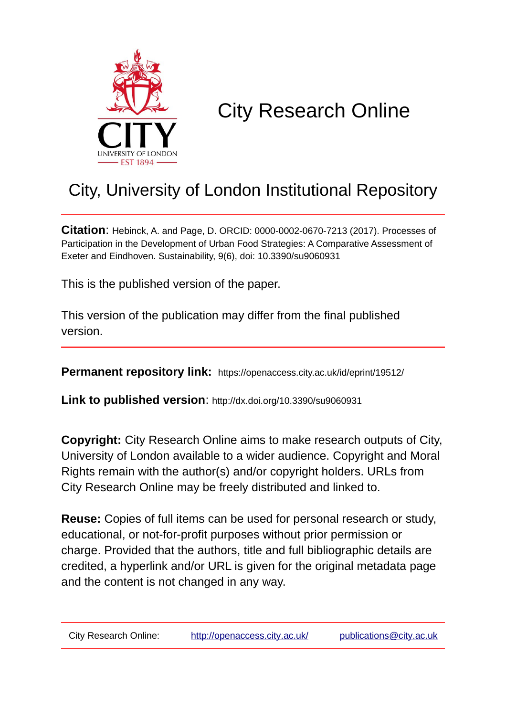

# City Research Online

## City, University of London Institutional Repository

**Citation**: Hebinck, A. and Page, D. ORCID: 0000-0002-0670-7213 (2017). Processes of Participation in the Development of Urban Food Strategies: A Comparative Assessment of Exeter and Eindhoven. Sustainability, 9(6), doi: 10.3390/su9060931

This is the published version of the paper.

This version of the publication may differ from the final published version.

**Permanent repository link:** https://openaccess.city.ac.uk/id/eprint/19512/

**Link to published version**: http://dx.doi.org/10.3390/su9060931

**Copyright:** City Research Online aims to make research outputs of City, University of London available to a wider audience. Copyright and Moral Rights remain with the author(s) and/or copyright holders. URLs from City Research Online may be freely distributed and linked to.

**Reuse:** Copies of full items can be used for personal research or study, educational, or not-for-profit purposes without prior permission or charge. Provided that the authors, title and full bibliographic details are credited, a hyperlink and/or URL is given for the original metadata page and the content is not changed in any way.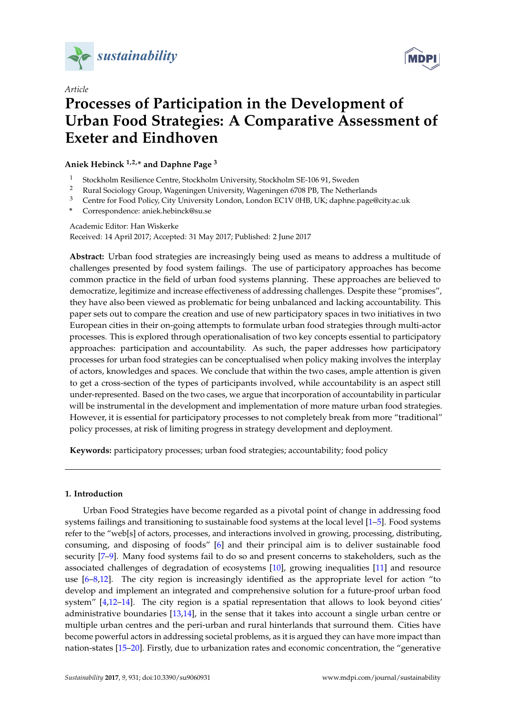



### *Article* **Processes of Participation in the Development of Urban Food Strategies: A Comparative Assessment of Exeter and Eindhoven**

**Aniek Hebinck 1,2,\* and Daphne Page <sup>3</sup>**

- <sup>1</sup> Stockholm Resilience Centre, Stockholm University, Stockholm SE-106 91, Sweden
- <sup>2</sup> Rural Sociology Group, Wageningen University, Wageningen 6708 PB, The Netherlands<br><sup>3</sup> Centre for Eood Policy City University London, London EC1V 0HB, UK: danhne nage@
- <sup>3</sup> Centre for Food Policy, City University London, London EC1V 0HB, UK; daphne.page@city.ac.uk
- **\*** Correspondence: aniek.hebinck@su.se

Academic Editor: Han Wiskerke Received: 14 April 2017; Accepted: 31 May 2017; Published: 2 June 2017

**Abstract:** Urban food strategies are increasingly being used as means to address a multitude of challenges presented by food system failings. The use of participatory approaches has become common practice in the field of urban food systems planning. These approaches are believed to democratize, legitimize and increase effectiveness of addressing challenges. Despite these "promises", they have also been viewed as problematic for being unbalanced and lacking accountability. This paper sets out to compare the creation and use of new participatory spaces in two initiatives in two European cities in their on-going attempts to formulate urban food strategies through multi-actor processes. This is explored through operationalisation of two key concepts essential to participatory approaches: participation and accountability. As such, the paper addresses how participatory processes for urban food strategies can be conceptualised when policy making involves the interplay of actors, knowledges and spaces. We conclude that within the two cases, ample attention is given to get a cross-section of the types of participants involved, while accountability is an aspect still under-represented. Based on the two cases, we argue that incorporation of accountability in particular will be instrumental in the development and implementation of more mature urban food strategies. However, it is essential for participatory processes to not completely break from more "traditional" policy processes, at risk of limiting progress in strategy development and deployment.

**Keywords:** participatory processes; urban food strategies; accountability; food policy

#### **1. Introduction**

Urban Food Strategies have become regarded as a pivotal point of change in addressing food systems failings and transitioning to sustainable food systems at the local level [\[1–](#page-16-0)[5\]](#page-16-1). Food systems refer to the "web[s] of actors, processes, and interactions involved in growing, processing, distributing, consuming, and disposing of foods" [\[6\]](#page-16-2) and their principal aim is to deliver sustainable food security [\[7–](#page-16-3)[9\]](#page-16-4). Many food systems fail to do so and present concerns to stakeholders, such as the associated challenges of degradation of ecosystems [\[10\]](#page-16-5), growing inequalities [\[11\]](#page-16-6) and resource use [\[6–](#page-16-2)[8](#page-16-7)[,12\]](#page-16-8). The city region is increasingly identified as the appropriate level for action "to develop and implement an integrated and comprehensive solution for a future-proof urban food system" [\[4,](#page-16-9)[12](#page-16-8)[–14\]](#page-16-10). The city region is a spatial representation that allows to look beyond cities' administrative boundaries [\[13,](#page-16-11)[14\]](#page-16-10), in the sense that it takes into account a single urban centre or multiple urban centres and the peri-urban and rural hinterlands that surround them. Cities have become powerful actors in addressing societal problems, as it is argued they can have more impact than nation-states [\[15](#page-16-12)[–20\]](#page-16-13). Firstly, due to urbanization rates and economic concentration, the "generative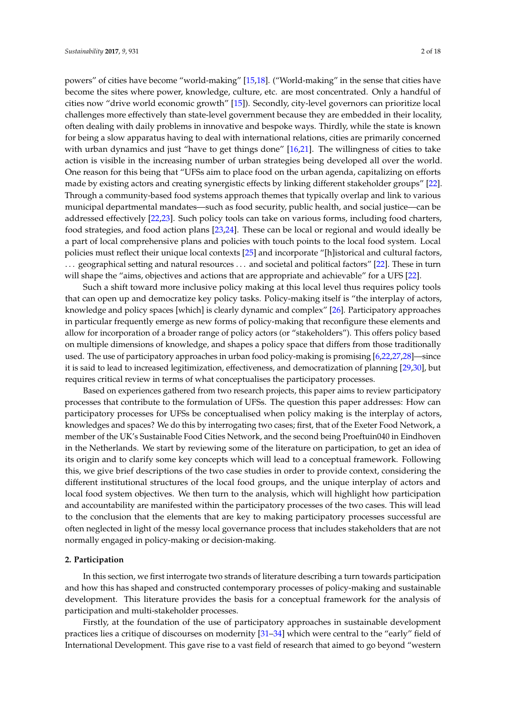powers" of cities have become "world-making" [\[15,](#page-16-12)[18\]](#page-16-14). ("World-making" in the sense that cities have become the sites where power, knowledge, culture, etc. are most concentrated. Only a handful of cities now "drive world economic growth" [\[15\]](#page-16-12)). Secondly, city-level governors can prioritize local challenges more effectively than state-level government because they are embedded in their locality, often dealing with daily problems in innovative and bespoke ways. Thirdly, while the state is known for being a slow apparatus having to deal with international relations, cities are primarily concerned with urban dynamics and just "have to get things done" [\[16,](#page-16-15)[21\]](#page-17-0). The willingness of cities to take action is visible in the increasing number of urban strategies being developed all over the world. One reason for this being that "UFSs aim to place food on the urban agenda, capitalizing on efforts made by existing actors and creating synergistic effects by linking different stakeholder groups" [\[22\]](#page-17-1). Through a community-based food systems approach themes that typically overlap and link to various municipal departmental mandates—such as food security, public health, and social justice—can be addressed effectively [\[22,](#page-17-1)[23\]](#page-17-2). Such policy tools can take on various forms, including food charters, food strategies, and food action plans [\[23](#page-17-2)[,24\]](#page-17-3). These can be local or regional and would ideally be a part of local comprehensive plans and policies with touch points to the local food system. Local policies must reflect their unique local contexts [\[25\]](#page-17-4) and incorporate "[h]istorical and cultural factors, . . . geographical setting and natural resources . . . and societal and political factors" [\[22\]](#page-17-1). These in turn will shape the "aims, objectives and actions that are appropriate and achievable" for a UFS [\[22\]](#page-17-1).

Such a shift toward more inclusive policy making at this local level thus requires policy tools that can open up and democratize key policy tasks. Policy-making itself is "the interplay of actors, knowledge and policy spaces [which] is clearly dynamic and complex" [\[26\]](#page-17-5). Participatory approaches in particular frequently emerge as new forms of policy-making that reconfigure these elements and allow for incorporation of a broader range of policy actors (or "stakeholders"). This offers policy based on multiple dimensions of knowledge, and shapes a policy space that differs from those traditionally used. The use of participatory approaches in urban food policy-making is promising [\[6](#page-16-2)[,22,](#page-17-1)[27,](#page-17-6)[28\]](#page-17-7)—since it is said to lead to increased legitimization, effectiveness, and democratization of planning [\[29,](#page-17-8)[30\]](#page-17-9), but requires critical review in terms of what conceptualises the participatory processes.

Based on experiences gathered from two research projects, this paper aims to review participatory processes that contribute to the formulation of UFSs. The question this paper addresses: How can participatory processes for UFSs be conceptualised when policy making is the interplay of actors, knowledges and spaces? We do this by interrogating two cases; first, that of the Exeter Food Network, a member of the UK's Sustainable Food Cities Network, and the second being Proeftuin040 in Eindhoven in the Netherlands. We start by reviewing some of the literature on participation, to get an idea of its origin and to clarify some key concepts which will lead to a conceptual framework. Following this, we give brief descriptions of the two case studies in order to provide context, considering the different institutional structures of the local food groups, and the unique interplay of actors and local food system objectives. We then turn to the analysis, which will highlight how participation and accountability are manifested within the participatory processes of the two cases. This will lead to the conclusion that the elements that are key to making participatory processes successful are often neglected in light of the messy local governance process that includes stakeholders that are not normally engaged in policy-making or decision-making.

#### **2. Participation**

In this section, we first interrogate two strands of literature describing a turn towards participation and how this has shaped and constructed contemporary processes of policy-making and sustainable development. This literature provides the basis for a conceptual framework for the analysis of participation and multi-stakeholder processes.

Firstly, at the foundation of the use of participatory approaches in sustainable development practices lies a critique of discourses on modernity [\[31–](#page-17-10)[34\]](#page-17-11) which were central to the "early" field of International Development. This gave rise to a vast field of research that aimed to go beyond "western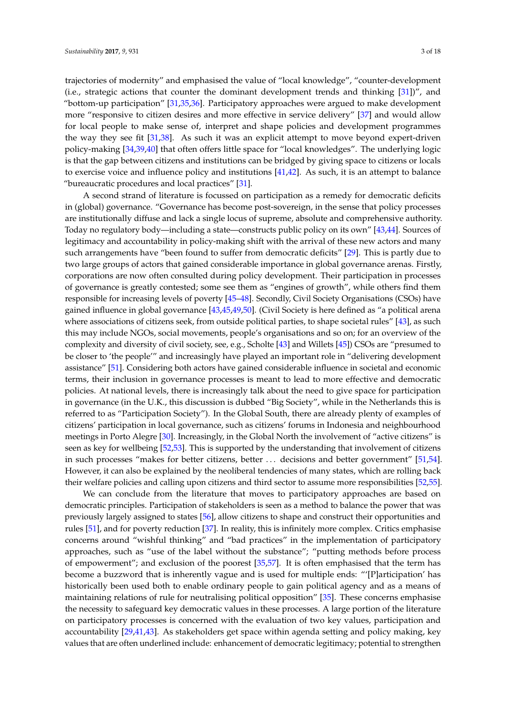trajectories of modernity" and emphasised the value of "local knowledge", "counter-development (i.e., strategic actions that counter the dominant development trends and thinking [\[31\]](#page-17-10))", and "bottom-up participation" [\[31,](#page-17-10)[35,](#page-17-12)[36\]](#page-17-13). Participatory approaches were argued to make development more "responsive to citizen desires and more effective in service delivery" [\[37\]](#page-17-14) and would allow for local people to make sense of, interpret and shape policies and development programmes the way they see fit [\[31,](#page-17-10)[38\]](#page-17-15). As such it was an explicit attempt to move beyond expert-driven policy-making [\[34,](#page-17-11)[39,](#page-17-16)[40\]](#page-17-17) that often offers little space for "local knowledges". The underlying logic is that the gap between citizens and institutions can be bridged by giving space to citizens or locals to exercise voice and influence policy and institutions [\[41](#page-17-18)[,42\]](#page-17-19). As such, it is an attempt to balance "bureaucratic procedures and local practices" [\[31\]](#page-17-10).

A second strand of literature is focussed on participation as a remedy for democratic deficits in (global) governance. "Governance has become post-sovereign, in the sense that policy processes are institutionally diffuse and lack a single locus of supreme, absolute and comprehensive authority. Today no regulatory body—including a state—constructs public policy on its own" [\[43](#page-17-20)[,44\]](#page-17-21). Sources of legitimacy and accountability in policy-making shift with the arrival of these new actors and many such arrangements have "been found to suffer from democratic deficits" [\[29\]](#page-17-8). This is partly due to two large groups of actors that gained considerable importance in global governance arenas. Firstly, corporations are now often consulted during policy development. Their participation in processes of governance is greatly contested; some see them as "engines of growth", while others find them responsible for increasing levels of poverty [\[45](#page-17-22)[–48\]](#page-18-0). Secondly, Civil Society Organisations (CSOs) have gained influence in global governance [\[43](#page-17-20)[,45,](#page-17-22)[49,](#page-18-1)[50\]](#page-18-2). (Civil Society is here defined as "a political arena where associations of citizens seek, from outside political parties, to shape societal rules" [\[43\]](#page-17-20), as such this may include NGOs, social movements, people's organisations and so on; for an overview of the complexity and diversity of civil society, see, e.g., Scholte [\[43\]](#page-17-20) and Willets [\[45\]](#page-17-22)) CSOs are "presumed to be closer to 'the people'" and increasingly have played an important role in "delivering development assistance" [\[51\]](#page-18-3). Considering both actors have gained considerable influence in societal and economic terms, their inclusion in governance processes is meant to lead to more effective and democratic policies. At national levels, there is increasingly talk about the need to give space for participation in governance (in the U.K., this discussion is dubbed "Big Society", while in the Netherlands this is referred to as "Participation Society"). In the Global South, there are already plenty of examples of citizens' participation in local governance, such as citizens' forums in Indonesia and neighbourhood meetings in Porto Alegre [\[30\]](#page-17-9). Increasingly, in the Global North the involvement of "active citizens" is seen as key for wellbeing [\[52,](#page-18-4)[53\]](#page-18-5). This is supported by the understanding that involvement of citizens in such processes "makes for better citizens, better . . . decisions and better government" [\[51,](#page-18-3)[54\]](#page-18-6). However, it can also be explained by the neoliberal tendencies of many states, which are rolling back their welfare policies and calling upon citizens and third sector to assume more responsibilities [\[52](#page-18-4)[,55\]](#page-18-7).

We can conclude from the literature that moves to participatory approaches are based on democratic principles. Participation of stakeholders is seen as a method to balance the power that was previously largely assigned to states [\[56\]](#page-18-8), allow citizens to shape and construct their opportunities and rules [\[51\]](#page-18-3), and for poverty reduction [\[37\]](#page-17-14). In reality, this is infinitely more complex. Critics emphasise concerns around "wishful thinking" and "bad practices" in the implementation of participatory approaches, such as "use of the label without the substance"; "putting methods before process of empowerment"; and exclusion of the poorest [\[35](#page-17-12)[,57\]](#page-18-9). It is often emphasised that the term has become a buzzword that is inherently vague and is used for multiple ends: "'[P]articipation' has historically been used both to enable ordinary people to gain political agency and as a means of maintaining relations of rule for neutralising political opposition" [\[35\]](#page-17-12). These concerns emphasise the necessity to safeguard key democratic values in these processes. A large portion of the literature on participatory processes is concerned with the evaluation of two key values, participation and accountability [\[29](#page-17-8)[,41](#page-17-18)[,43\]](#page-17-20). As stakeholders get space within agenda setting and policy making, key values that are often underlined include: enhancement of democratic legitimacy; potential to strengthen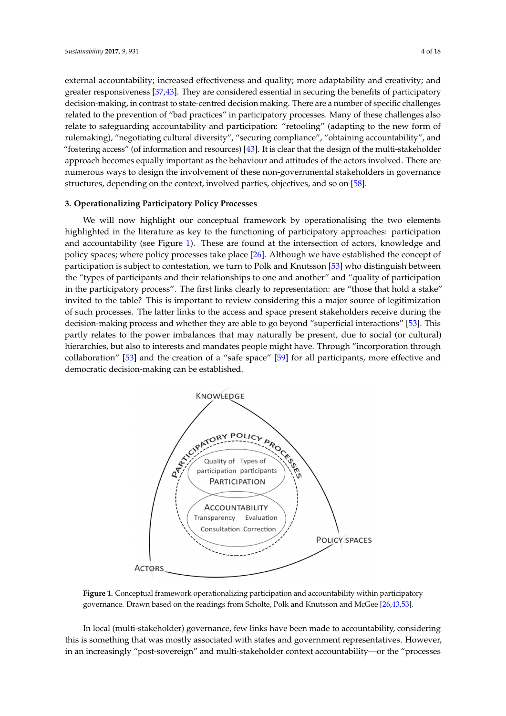external accountability; increased effectiveness and quality; more adaptability and creativity; and greater responsiveness [\[37](#page-17-14)[,43\]](#page-17-20). They are considered essential in securing the benefits of participatory decision-making, in contrast to state-centred decision making. There are a number of specific challenges related to the prevention of "bad practices" in participatory processes. Many of these challenges also relate to safeguarding accountability and participation: "retooling" (adapting to the new form of rulemaking), "negotiating cultural diversity", "securing compliance", "obtaining accountability", and "fostering access" (of information and resources) [\[43\]](#page-17-20). It is clear that the design of the multi-stakeholder approach becomes equally important as the behaviour and attitudes of the actors involved. There are numerous ways to design the involvement of these non-governmental stakeholders in governance structures, depending on the context, involved parties, objectives, and so on [\[58\]](#page-18-10).

#### **3. Operationalizing Participatory Policy Processes 3. Operationalizing Participatory Policy Processes**

We will now highlight our conceptual framework by operationalising the two elements highlighted in the literature as key to the functioning of participatory approaches: participation of actors, knowledge and policy  $\overline{E}$ and accountability (see Figure [1\)](#page-4-0). These are found at the intersection of actors, knowledge and policy spaces; where policy processes take place [\[26\]](#page-17-5). Although we have established the concept of participation, we turn to Polk and Knutsson contestation, we have established the concept of participation is subject to contestation, we turn to Polk and Knutsson [\[53\]](#page-18-5) who distinguish between the "types of participants and their relationships to one and another" and "quality of participation: in the participatory process". The first links clearly to representation: are "those that hold a stake" invited to the table? This is important to review considering this a major source of legitimization of such processes. The latter links to the access and space present stakeholders receive during the decision-making process and whether they are able to go beyond "superficial interactions" [\[53\]](#page-18-5). This partly relates to the power imbalances that may naturally be present, due to social (or cultural) hierarchies, but also to interests and mandates people might have. Through "incorporation through collaboration"  $[53]$  and the creation of a "safe space"  $[59]$  for all participants, more effective and democratic decision-making can be established. We will now highlight our conceptual framework by operationalising the two elements the two elements the two elements of two elements of two elements of two elements of two elements of two elements of two elements of two highlight our conceptual trainework by operationalismig in two elements: participation and participation and participation and participation and participation and participation and participation and participation and parti

<span id="page-4-0"></span>

**Figure 1.** Conceptual framework operationalizing participation and accountability within **Figure 1.** Conceptual framework operationalizing participation and accountability within participatory governance. Drawn based on the readings from Scholte, Polk and Knutsson and McGee [\[26](#page-17-5)[,43,](#page-17-20)[53\]](#page-18-5).

this is something that was mostly associated with states and government representatives. However, in an increasingly "post-sovereign" and multi-stakeholder context accountability—or the "processes In local (multi-stakeholder) governance, few links have been made to accountability, considering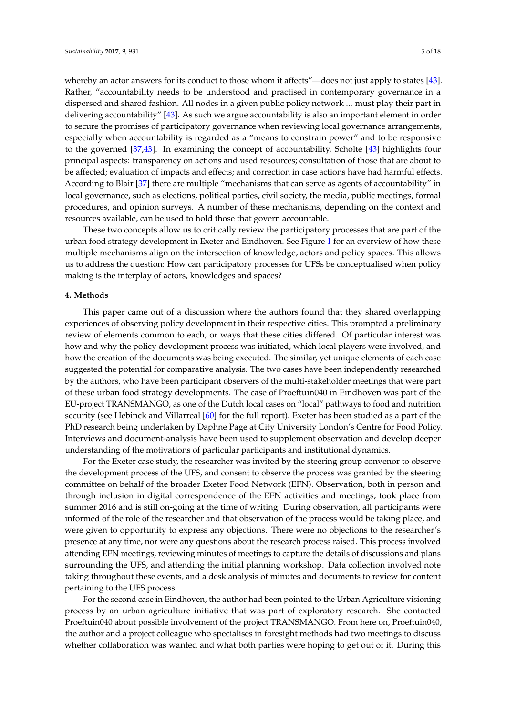whereby an actor answers for its conduct to those whom it affects"—does not just apply to states [\[43\]](#page-17-20). Rather, "accountability needs to be understood and practised in contemporary governance in a dispersed and shared fashion. All nodes in a given public policy network ... must play their part in delivering accountability" [\[43\]](#page-17-20). As such we argue accountability is also an important element in order to secure the promises of participatory governance when reviewing local governance arrangements, especially when accountability is regarded as a "means to constrain power" and to be responsive to the governed [\[37](#page-17-14)[,43\]](#page-17-20). In examining the concept of accountability, Scholte [\[43\]](#page-17-20) highlights four principal aspects: transparency on actions and used resources; consultation of those that are about to be affected; evaluation of impacts and effects; and correction in case actions have had harmful effects. According to Blair [\[37\]](#page-17-14) there are multiple "mechanisms that can serve as agents of accountability" in local governance, such as elections, political parties, civil society, the media, public meetings, formal procedures, and opinion surveys. A number of these mechanisms, depending on the context and resources available, can be used to hold those that govern accountable.

These two concepts allow us to critically review the participatory processes that are part of the urban food strategy development in Exeter and Eindhoven. See Figure [1](#page-4-0) for an overview of how these multiple mechanisms align on the intersection of knowledge, actors and policy spaces. This allows us to address the question: How can participatory processes for UFSs be conceptualised when policy making is the interplay of actors, knowledges and spaces?

#### **4. Methods**

This paper came out of a discussion where the authors found that they shared overlapping experiences of observing policy development in their respective cities. This prompted a preliminary review of elements common to each, or ways that these cities differed. Of particular interest was how and why the policy development process was initiated, which local players were involved, and how the creation of the documents was being executed. The similar, yet unique elements of each case suggested the potential for comparative analysis. The two cases have been independently researched by the authors, who have been participant observers of the multi-stakeholder meetings that were part of these urban food strategy developments. The case of Proeftuin040 in Eindhoven was part of the EU-project TRANSMANGO, as one of the Dutch local cases on "local" pathways to food and nutrition security (see Hebinck and Villarreal [\[60\]](#page-18-12) for the full report). Exeter has been studied as a part of the PhD research being undertaken by Daphne Page at City University London's Centre for Food Policy. Interviews and document-analysis have been used to supplement observation and develop deeper understanding of the motivations of particular participants and institutional dynamics.

For the Exeter case study, the researcher was invited by the steering group convenor to observe the development process of the UFS, and consent to observe the process was granted by the steering committee on behalf of the broader Exeter Food Network (EFN). Observation, both in person and through inclusion in digital correspondence of the EFN activities and meetings, took place from summer 2016 and is still on-going at the time of writing. During observation, all participants were informed of the role of the researcher and that observation of the process would be taking place, and were given to opportunity to express any objections. There were no objections to the researcher's presence at any time, nor were any questions about the research process raised. This process involved attending EFN meetings, reviewing minutes of meetings to capture the details of discussions and plans surrounding the UFS, and attending the initial planning workshop. Data collection involved note taking throughout these events, and a desk analysis of minutes and documents to review for content pertaining to the UFS process.

For the second case in Eindhoven, the author had been pointed to the Urban Agriculture visioning process by an urban agriculture initiative that was part of exploratory research. She contacted Proeftuin040 about possible involvement of the project TRANSMANGO. From here on, Proeftuin040, the author and a project colleague who specialises in foresight methods had two meetings to discuss whether collaboration was wanted and what both parties were hoping to get out of it. During this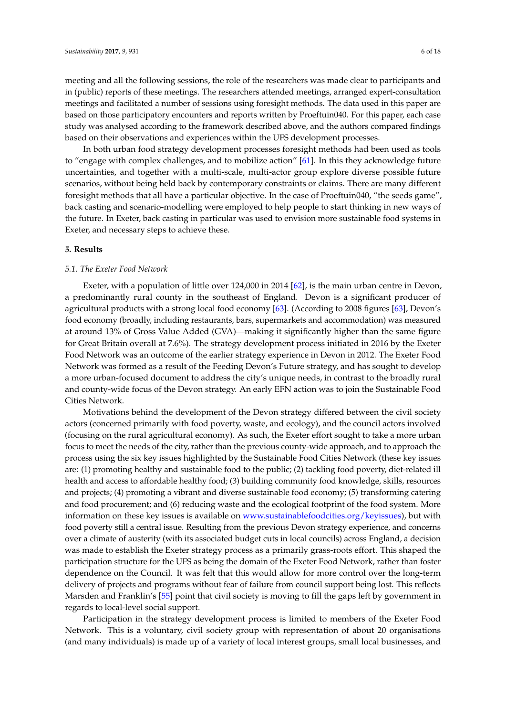meeting and all the following sessions, the role of the researchers was made clear to participants and in (public) reports of these meetings. The researchers attended meetings, arranged expert-consultation meetings and facilitated a number of sessions using foresight methods. The data used in this paper are based on those participatory encounters and reports written by Proeftuin040. For this paper, each case study was analysed according to the framework described above, and the authors compared findings based on their observations and experiences within the UFS development processes.

In both urban food strategy development processes foresight methods had been used as tools to "engage with complex challenges, and to mobilize action" [\[61\]](#page-18-13). In this they acknowledge future uncertainties, and together with a multi-scale, multi-actor group explore diverse possible future scenarios, without being held back by contemporary constraints or claims. There are many different foresight methods that all have a particular objective. In the case of Proeftuin040, "the seeds game", back casting and scenario-modelling were employed to help people to start thinking in new ways of the future. In Exeter, back casting in particular was used to envision more sustainable food systems in Exeter, and necessary steps to achieve these.

#### **5. Results**

#### *5.1. The Exeter Food Network*

Exeter, with a population of little over 124,000 in 2014 [\[62\]](#page-18-14), is the main urban centre in Devon, a predominantly rural county in the southeast of England. Devon is a significant producer of agricultural products with a strong local food economy [\[63\]](#page-18-15). (According to 2008 figures [\[63\]](#page-18-15), Devon's food economy (broadly, including restaurants, bars, supermarkets and accommodation) was measured at around 13% of Gross Value Added (GVA)—making it significantly higher than the same figure for Great Britain overall at 7.6%). The strategy development process initiated in 2016 by the Exeter Food Network was an outcome of the earlier strategy experience in Devon in 2012. The Exeter Food Network was formed as a result of the Feeding Devon's Future strategy, and has sought to develop a more urban-focused document to address the city's unique needs, in contrast to the broadly rural and county-wide focus of the Devon strategy. An early EFN action was to join the Sustainable Food Cities Network.

Motivations behind the development of the Devon strategy differed between the civil society actors (concerned primarily with food poverty, waste, and ecology), and the council actors involved (focusing on the rural agricultural economy). As such, the Exeter effort sought to take a more urban focus to meet the needs of the city, rather than the previous county-wide approach, and to approach the process using the six key issues highlighted by the Sustainable Food Cities Network (these key issues are: (1) promoting healthy and sustainable food to the public; (2) tackling food poverty, diet-related ill health and access to affordable healthy food; (3) building community food knowledge, skills, resources and projects; (4) promoting a vibrant and diverse sustainable food economy; (5) transforming catering and food procurement; and (6) reducing waste and the ecological footprint of the food system. More information on these key issues is available on [www.sustainablefoodcities.org/keyissues\)](www.sustainablefoodcities.org/keyissues), but with food poverty still a central issue. Resulting from the previous Devon strategy experience, and concerns over a climate of austerity (with its associated budget cuts in local councils) across England, a decision was made to establish the Exeter strategy process as a primarily grass-roots effort. This shaped the participation structure for the UFS as being the domain of the Exeter Food Network, rather than foster dependence on the Council. It was felt that this would allow for more control over the long-term delivery of projects and programs without fear of failure from council support being lost. This reflects Marsden and Franklin's [\[55\]](#page-18-7) point that civil society is moving to fill the gaps left by government in regards to local-level social support.

Participation in the strategy development process is limited to members of the Exeter Food Network. This is a voluntary, civil society group with representation of about 20 organisations (and many individuals) is made up of a variety of local interest groups, small local businesses, and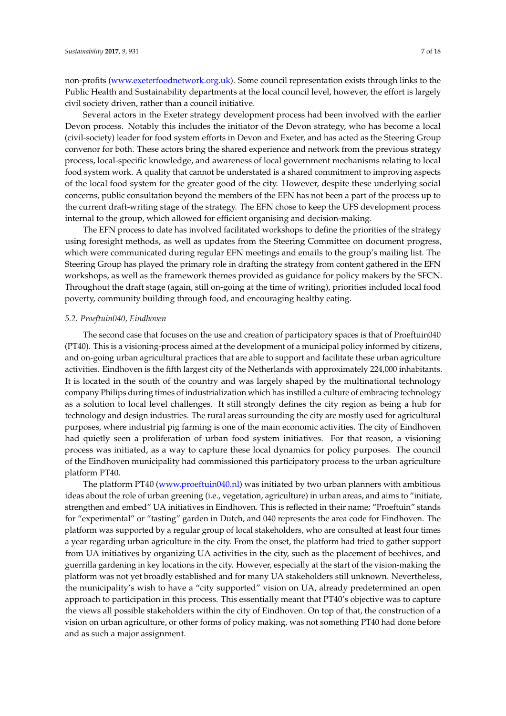non-profits [\(www.exeterfoodnetwork.org.uk\)](www.exeterfoodnetwork.org.uk). Some council representation exists through links to the Public Health and Sustainability departments at the local council level, however, the effort is largely civil society driven, rather than a council initiative.

Several actors in the Exeter strategy development process had been involved with the earlier Devon process. Notably this includes the initiator of the Devon strategy, who has become a local (civil-society) leader for food system efforts in Devon and Exeter, and has acted as the Steering Group convenor for both. These actors bring the shared experience and network from the previous strategy process, local-specific knowledge, and awareness of local government mechanisms relating to local food system work. A quality that cannot be understated is a shared commitment to improving aspects of the local food system for the greater good of the city. However, despite these underlying social concerns, public consultation beyond the members of the EFN has not been a part of the process up to the current draft-writing stage of the strategy. The EFN chose to keep the UFS development process internal to the group, which allowed for efficient organising and decision-making.

The EFN process to date has involved facilitated workshops to define the priorities of the strategy using foresight methods, as well as updates from the Steering Committee on document progress, which were communicated during regular EFN meetings and emails to the group's mailing list. The Steering Group has played the primary role in drafting the strategy from content gathered in the EFN workshops, as well as the framework themes provided as guidance for policy makers by the SFCN. Throughout the draft stage (again, still on-going at the time of writing), priorities included local food poverty, community building through food, and encouraging healthy eating.

#### *5.2. Proeftuin040, Eindhoven*

The second case that focuses on the use and creation of participatory spaces is that of Proeftuin040 (PT40). This is a visioning-process aimed at the development of a municipal policy informed by citizens, and on-going urban agricultural practices that are able to support and facilitate these urban agriculture activities. Eindhoven is the fifth largest city of the Netherlands with approximately 224,000 inhabitants. It is located in the south of the country and was largely shaped by the multinational technology company Philips during times of industrialization which has instilled a culture of embracing technology as a solution to local level challenges. It still strongly defines the city region as being a hub for technology and design industries. The rural areas surrounding the city are mostly used for agricultural purposes, where industrial pig farming is one of the main economic activities. The city of Eindhoven had quietly seen a proliferation of urban food system initiatives. For that reason, a visioning process was initiated, as a way to capture these local dynamics for policy purposes. The council of the Eindhoven municipality had commissioned this participatory process to the urban agriculture platform PT40.

The platform PT40 [\(www.proeftuin040.nl\)](www.proeftuin040.nl) was initiated by two urban planners with ambitious ideas about the role of urban greening (i.e., vegetation, agriculture) in urban areas, and aims to "initiate, strengthen and embed" UA initiatives in Eindhoven. This is reflected in their name; "Proeftuin" stands for "experimental" or "tasting" garden in Dutch, and 040 represents the area code for Eindhoven. The platform was supported by a regular group of local stakeholders, who are consulted at least four times a year regarding urban agriculture in the city. From the onset, the platform had tried to gather support from UA initiatives by organizing UA activities in the city, such as the placement of beehives, and guerrilla gardening in key locations in the city. However, especially at the start of the vision-making the platform was not yet broadly established and for many UA stakeholders still unknown. Nevertheless, the municipality's wish to have a "city supported" vision on UA, already predetermined an open approach to participation in this process. This essentially meant that PT40's objective was to capture the views all possible stakeholders within the city of Eindhoven. On top of that, the construction of a vision on urban agriculture, or other forms of policy making, was not something PT40 had done before and as such a major assignment.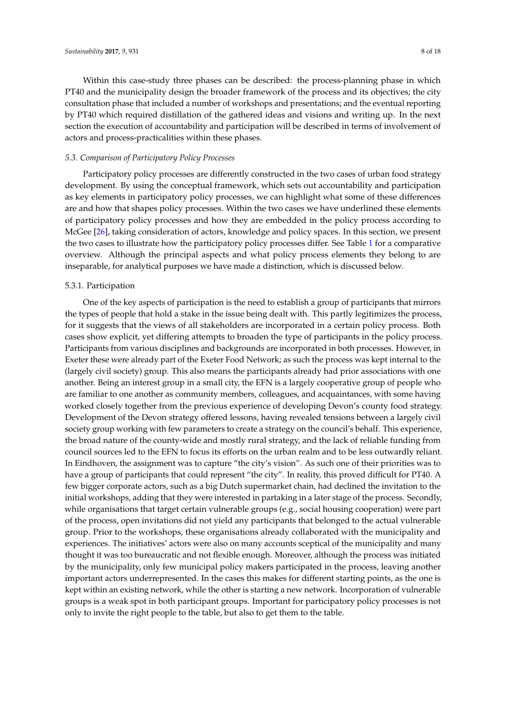Within this case-study three phases can be described: the process-planning phase in which PT40 and the municipality design the broader framework of the process and its objectives; the city consultation phase that included a number of workshops and presentations; and the eventual reporting by PT40 which required distillation of the gathered ideas and visions and writing up. In the next section the execution of accountability and participation will be described in terms of involvement of actors and process-practicalities within these phases.

#### *5.3. Comparison of Participatory Policy Processes*

Participatory policy processes are differently constructed in the two cases of urban food strategy development. By using the conceptual framework, which sets out accountability and participation as key elements in participatory policy processes, we can highlight what some of these differences are and how that shapes policy processes. Within the two cases we have underlined these elements of participatory policy processes and how they are embedded in the policy process according to McGee [\[26\]](#page-17-5), taking consideration of actors, knowledge and policy spaces. In this section, we present the two cases to illustrate how the participatory policy processes differ. See Table [1](#page-10-0) for a comparative overview. Although the principal aspects and what policy process elements they belong to are inseparable, for analytical purposes we have made a distinction, which is discussed below.

#### 5.3.1. Participation

One of the key aspects of participation is the need to establish a group of participants that mirrors the types of people that hold a stake in the issue being dealt with. This partly legitimizes the process, for it suggests that the views of all stakeholders are incorporated in a certain policy process. Both cases show explicit, yet differing attempts to broaden the type of participants in the policy process. Participants from various disciplines and backgrounds are incorporated in both processes. However, in Exeter these were already part of the Exeter Food Network; as such the process was kept internal to the (largely civil society) group. This also means the participants already had prior associations with one another. Being an interest group in a small city, the EFN is a largely cooperative group of people who are familiar to one another as community members, colleagues, and acquaintances, with some having worked closely together from the previous experience of developing Devon's county food strategy. Development of the Devon strategy offered lessons, having revealed tensions between a largely civil society group working with few parameters to create a strategy on the council's behalf. This experience, the broad nature of the county-wide and mostly rural strategy, and the lack of reliable funding from council sources led to the EFN to focus its efforts on the urban realm and to be less outwardly reliant. In Eindhoven, the assignment was to capture "the city's vision". As such one of their priorities was to have a group of participants that could represent "the city". In reality, this proved difficult for PT40. A few bigger corporate actors, such as a big Dutch supermarket chain, had declined the invitation to the initial workshops, adding that they were interested in partaking in a later stage of the process. Secondly, while organisations that target certain vulnerable groups (e.g., social housing cooperation) were part of the process, open invitations did not yield any participants that belonged to the actual vulnerable group. Prior to the workshops, these organisations already collaborated with the municipality and experiences. The initiatives' actors were also on many accounts sceptical of the municipality and many thought it was too bureaucratic and not flexible enough. Moreover, although the process was initiated by the municipality, only few municipal policy makers participated in the process, leaving another important actors underrepresented. In the cases this makes for different starting points, as the one is kept within an existing network, while the other is starting a new network. Incorporation of vulnerable groups is a weak spot in both participant groups. Important for participatory policy processes is not only to invite the right people to the table, but also to get them to the table.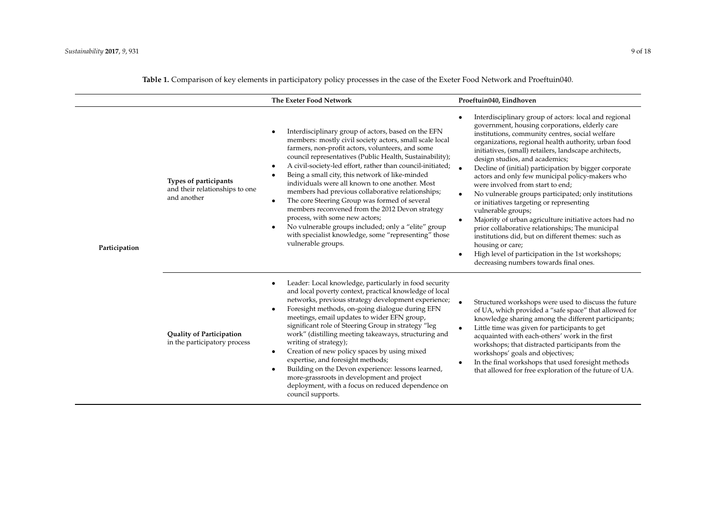|               |                                                                        | The Exeter Food Network                                                                                                                                                                                                                                                                                                                                                                                                                                                                                                                                                                                                                                                                                                                         | Proeftuin040, Eindhoven                                                                                                                                                                                                                                                                                                                                                                                                                                                                                                                                                                                                                                                                                                                                                                                                                                                         |
|---------------|------------------------------------------------------------------------|-------------------------------------------------------------------------------------------------------------------------------------------------------------------------------------------------------------------------------------------------------------------------------------------------------------------------------------------------------------------------------------------------------------------------------------------------------------------------------------------------------------------------------------------------------------------------------------------------------------------------------------------------------------------------------------------------------------------------------------------------|---------------------------------------------------------------------------------------------------------------------------------------------------------------------------------------------------------------------------------------------------------------------------------------------------------------------------------------------------------------------------------------------------------------------------------------------------------------------------------------------------------------------------------------------------------------------------------------------------------------------------------------------------------------------------------------------------------------------------------------------------------------------------------------------------------------------------------------------------------------------------------|
| Participation | Types of participants<br>and their relationships to one<br>and another | Interdisciplinary group of actors, based on the EFN<br>members: mostly civil society actors, small scale local<br>farmers, non-profit actors, volunteers, and some<br>council representatives (Public Health, Sustainability);<br>A civil-society-led effort, rather than council-initiated;<br>Being a small city, this network of like-minded<br>individuals were all known to one another. Most<br>members had previous collaborative relationships;<br>The core Steering Group was formed of several<br>$\bullet$<br>members reconvened from the 2012 Devon strategy<br>process, with some new actors;<br>No vulnerable groups included; only a "elite" group<br>with specialist knowledge, some "representing" those<br>vulnerable groups. | Interdisciplinary group of actors: local and regional<br>government, housing corporations, elderly care<br>institutions, community centres, social welfare<br>organizations, regional health authority, urban food<br>initiatives, (small) retailers, landscape architects,<br>design studios, and academics;<br>Decline of (initial) participation by bigger corporate<br>actors and only few municipal policy-makers who<br>were involved from start to end;<br>No vulnerable groups participated; only institutions<br>or initiatives targeting or representing<br>vulnerable groups;<br>Majority of urban agriculture initiative actors had no<br>prior collaborative relationships; The municipal<br>institutions did, but on different themes: such as<br>housing or care;<br>High level of participation in the 1st workshops;<br>decreasing numbers towards final ones. |
|               | <b>Quality of Participation</b><br>in the participatory process        | Leader: Local knowledge, particularly in food security<br>and local poverty context, practical knowledge of local<br>networks, previous strategy development experience;<br>Foresight methods, on-going dialogue during EFN<br>meetings, email updates to wider EFN group,<br>significant role of Steering Group in strategy "leg<br>work" (distilling meeting takeaways, structuring and<br>writing of strategy);<br>Creation of new policy spaces by using mixed<br>expertise, and foresight methods;<br>Building on the Devon experience: lessons learned,<br>more-grassroots in development and project<br>deployment, with a focus on reduced dependence on<br>council supports.                                                           | Structured workshops were used to discuss the future<br>of UA, which provided a "safe space" that allowed for<br>knowledge sharing among the different participants;<br>Little time was given for participants to get<br>acquainted with each-others' work in the first<br>workshops; that distracted participants from the<br>workshops' goals and objectives;<br>In the final workshops that used foresight methods<br>that allowed for free exploration of the future of UA.                                                                                                                                                                                                                                                                                                                                                                                                 |

**Table 1.** Comparison of key elements in participatory policy processes in the case of the Exeter Food Network and Proeftuin040.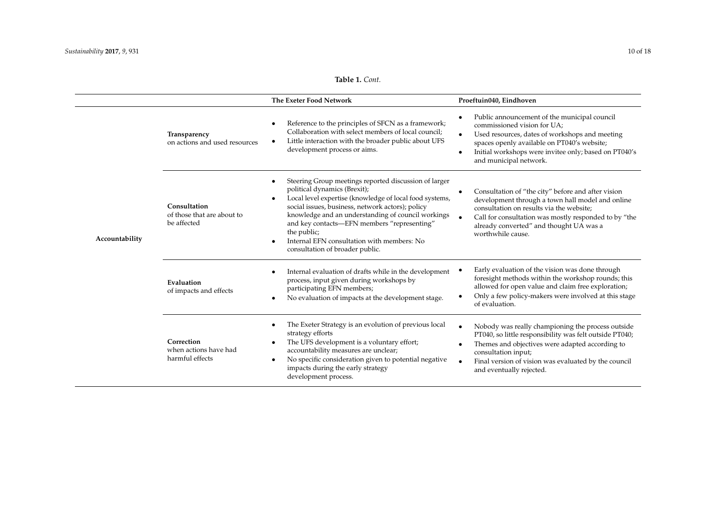<span id="page-10-0"></span>

|                |                                                           | The Exeter Food Network                                                                                                                                                                                                                                                                                                                                                                                   | Proeftuin040, Eindhoven                                                                                                                                                                                                                                                     |
|----------------|-----------------------------------------------------------|-----------------------------------------------------------------------------------------------------------------------------------------------------------------------------------------------------------------------------------------------------------------------------------------------------------------------------------------------------------------------------------------------------------|-----------------------------------------------------------------------------------------------------------------------------------------------------------------------------------------------------------------------------------------------------------------------------|
| Accountability | Transparency<br>on actions and used resources             | Reference to the principles of SFCN as a framework;<br>Collaboration with select members of local council;<br>Little interaction with the broader public about UFS<br>٠<br>development process or aims.                                                                                                                                                                                                   | Public announcement of the municipal council<br>commissioned vision for UA;<br>Used resources, dates of workshops and meeting<br>spaces openly available on PT040's website;<br>Initial workshops were invitee only; based on PT040's<br>and municipal network.             |
|                | Consultation<br>of those that are about to<br>be affected | Steering Group meetings reported discussion of larger<br>political dynamics (Brexit);<br>Local level expertise (knowledge of local food systems,<br>social issues, business, network actors); policy<br>knowledge and an understanding of council workings<br>and key contacts-EFN members "representing"<br>the public;<br>Internal EFN consultation with members: No<br>consultation of broader public. | Consultation of "the city" before and after vision<br>development through a town hall model and online<br>consultation on results via the website:<br>Call for consultation was mostly responded to by "the<br>already converted" and thought UA was a<br>worthwhile cause. |
|                | Evaluation<br>of impacts and effects                      | Internal evaluation of drafts while in the development<br>process, input given during workshops by<br>participating EFN members;<br>No evaluation of impacts at the development stage.                                                                                                                                                                                                                    | Early evaluation of the vision was done through<br>foresight methods within the workshop rounds; this<br>allowed for open value and claim free exploration;<br>Only a few policy-makers were involved at this stage<br>of evaluation.                                       |
|                | Correction<br>when actions have had<br>harmful effects    | The Exeter Strategy is an evolution of previous local<br>strategy efforts<br>The UFS development is a voluntary effort;<br>accountability measures are unclear;<br>No specific consideration given to potential negative<br>impacts during the early strategy<br>development process.                                                                                                                     | Nobody was really championing the process outside<br>PT040, so little responsibility was felt outside PT040;<br>Themes and objectives were adapted according to<br>consultation input;<br>Final version of vision was evaluated by the council<br>and eventually rejected.  |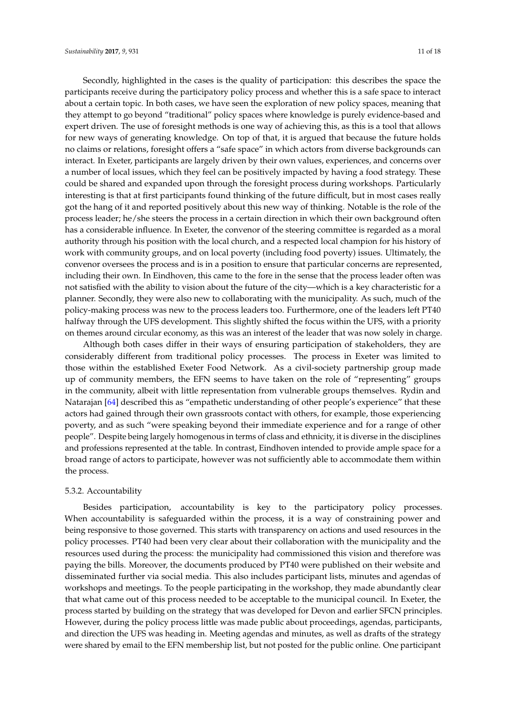Secondly, highlighted in the cases is the quality of participation: this describes the space the participants receive during the participatory policy process and whether this is a safe space to interact about a certain topic. In both cases, we have seen the exploration of new policy spaces, meaning that they attempt to go beyond "traditional" policy spaces where knowledge is purely evidence-based and expert driven. The use of foresight methods is one way of achieving this, as this is a tool that allows for new ways of generating knowledge. On top of that, it is argued that because the future holds no claims or relations, foresight offers a "safe space" in which actors from diverse backgrounds can interact. In Exeter, participants are largely driven by their own values, experiences, and concerns over a number of local issues, which they feel can be positively impacted by having a food strategy. These could be shared and expanded upon through the foresight process during workshops. Particularly interesting is that at first participants found thinking of the future difficult, but in most cases really got the hang of it and reported positively about this new way of thinking. Notable is the role of the process leader; he/she steers the process in a certain direction in which their own background often has a considerable influence. In Exeter, the convenor of the steering committee is regarded as a moral authority through his position with the local church, and a respected local champion for his history of work with community groups, and on local poverty (including food poverty) issues. Ultimately, the convenor oversees the process and is in a position to ensure that particular concerns are represented, including their own. In Eindhoven, this came to the fore in the sense that the process leader often was not satisfied with the ability to vision about the future of the city—which is a key characteristic for a planner. Secondly, they were also new to collaborating with the municipality. As such, much of the policy-making process was new to the process leaders too. Furthermore, one of the leaders left PT40 halfway through the UFS development. This slightly shifted the focus within the UFS, with a priority on themes around circular economy, as this was an interest of the leader that was now solely in charge.

Although both cases differ in their ways of ensuring participation of stakeholders, they are considerably different from traditional policy processes. The process in Exeter was limited to those within the established Exeter Food Network. As a civil-society partnership group made up of community members, the EFN seems to have taken on the role of "representing" groups in the community, albeit with little representation from vulnerable groups themselves. Rydin and Natarajan [\[64\]](#page-18-16) described this as "empathetic understanding of other people's experience" that these actors had gained through their own grassroots contact with others, for example, those experiencing poverty, and as such "were speaking beyond their immediate experience and for a range of other people". Despite being largely homogenous in terms of class and ethnicity, it is diverse in the disciplines and professions represented at the table. In contrast, Eindhoven intended to provide ample space for a broad range of actors to participate, however was not sufficiently able to accommodate them within the process.

#### 5.3.2. Accountability

Besides participation, accountability is key to the participatory policy processes. When accountability is safeguarded within the process, it is a way of constraining power and being responsive to those governed. This starts with transparency on actions and used resources in the policy processes. PT40 had been very clear about their collaboration with the municipality and the resources used during the process: the municipality had commissioned this vision and therefore was paying the bills. Moreover, the documents produced by PT40 were published on their website and disseminated further via social media. This also includes participant lists, minutes and agendas of workshops and meetings. To the people participating in the workshop, they made abundantly clear that what came out of this process needed to be acceptable to the municipal council. In Exeter, the process started by building on the strategy that was developed for Devon and earlier SFCN principles. However, during the policy process little was made public about proceedings, agendas, participants, and direction the UFS was heading in. Meeting agendas and minutes, as well as drafts of the strategy were shared by email to the EFN membership list, but not posted for the public online. One participant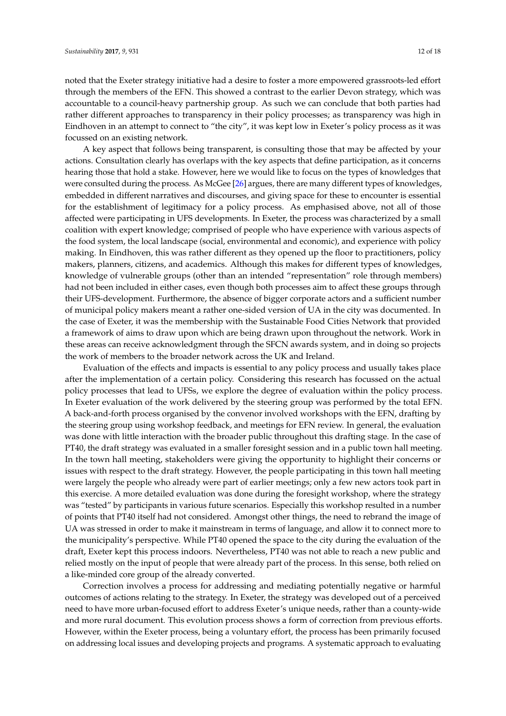noted that the Exeter strategy initiative had a desire to foster a more empowered grassroots-led effort through the members of the EFN. This showed a contrast to the earlier Devon strategy, which was accountable to a council-heavy partnership group. As such we can conclude that both parties had rather different approaches to transparency in their policy processes; as transparency was high in Eindhoven in an attempt to connect to "the city", it was kept low in Exeter's policy process as it was focussed on an existing network.

A key aspect that follows being transparent, is consulting those that may be affected by your actions. Consultation clearly has overlaps with the key aspects that define participation, as it concerns hearing those that hold a stake. However, here we would like to focus on the types of knowledges that were consulted during the process. As McGee [\[26\]](#page-17-5) argues, there are many different types of knowledges, embedded in different narratives and discourses, and giving space for these to encounter is essential for the establishment of legitimacy for a policy process. As emphasised above, not all of those affected were participating in UFS developments. In Exeter, the process was characterized by a small coalition with expert knowledge; comprised of people who have experience with various aspects of the food system, the local landscape (social, environmental and economic), and experience with policy making. In Eindhoven, this was rather different as they opened up the floor to practitioners, policy makers, planners, citizens, and academics. Although this makes for different types of knowledges, knowledge of vulnerable groups (other than an intended "representation" role through members) had not been included in either cases, even though both processes aim to affect these groups through their UFS-development. Furthermore, the absence of bigger corporate actors and a sufficient number of municipal policy makers meant a rather one-sided version of UA in the city was documented. In the case of Exeter, it was the membership with the Sustainable Food Cities Network that provided a framework of aims to draw upon which are being drawn upon throughout the network. Work in these areas can receive acknowledgment through the SFCN awards system, and in doing so projects the work of members to the broader network across the UK and Ireland.

Evaluation of the effects and impacts is essential to any policy process and usually takes place after the implementation of a certain policy. Considering this research has focussed on the actual policy processes that lead to UFSs, we explore the degree of evaluation within the policy process. In Exeter evaluation of the work delivered by the steering group was performed by the total EFN. A back-and-forth process organised by the convenor involved workshops with the EFN, drafting by the steering group using workshop feedback, and meetings for EFN review. In general, the evaluation was done with little interaction with the broader public throughout this drafting stage. In the case of PT40, the draft strategy was evaluated in a smaller foresight session and in a public town hall meeting. In the town hall meeting, stakeholders were giving the opportunity to highlight their concerns or issues with respect to the draft strategy. However, the people participating in this town hall meeting were largely the people who already were part of earlier meetings; only a few new actors took part in this exercise. A more detailed evaluation was done during the foresight workshop, where the strategy was "tested" by participants in various future scenarios. Especially this workshop resulted in a number of points that PT40 itself had not considered. Amongst other things, the need to rebrand the image of UA was stressed in order to make it mainstream in terms of language, and allow it to connect more to the municipality's perspective. While PT40 opened the space to the city during the evaluation of the draft, Exeter kept this process indoors. Nevertheless, PT40 was not able to reach a new public and relied mostly on the input of people that were already part of the process. In this sense, both relied on a like-minded core group of the already converted.

Correction involves a process for addressing and mediating potentially negative or harmful outcomes of actions relating to the strategy. In Exeter, the strategy was developed out of a perceived need to have more urban-focused effort to address Exeter's unique needs, rather than a county-wide and more rural document. This evolution process shows a form of correction from previous efforts. However, within the Exeter process, being a voluntary effort, the process has been primarily focused on addressing local issues and developing projects and programs. A systematic approach to evaluating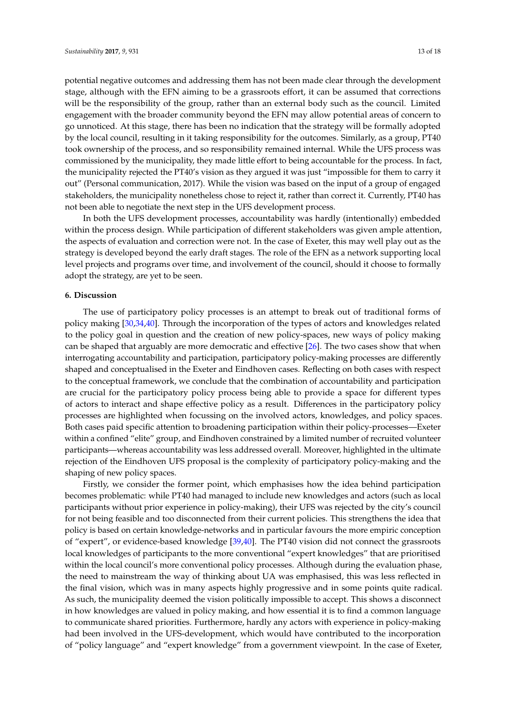potential negative outcomes and addressing them has not been made clear through the development stage, although with the EFN aiming to be a grassroots effort, it can be assumed that corrections will be the responsibility of the group, rather than an external body such as the council. Limited engagement with the broader community beyond the EFN may allow potential areas of concern to go unnoticed. At this stage, there has been no indication that the strategy will be formally adopted by the local council, resulting in it taking responsibility for the outcomes. Similarly, as a group, PT40 took ownership of the process, and so responsibility remained internal. While the UFS process was commissioned by the municipality, they made little effort to being accountable for the process. In fact, the municipality rejected the PT40's vision as they argued it was just "impossible for them to carry it out" (Personal communication, 2017). While the vision was based on the input of a group of engaged stakeholders, the municipality nonetheless chose to reject it, rather than correct it. Currently, PT40 has not been able to negotiate the next step in the UFS development process.

In both the UFS development processes, accountability was hardly (intentionally) embedded within the process design. While participation of different stakeholders was given ample attention, the aspects of evaluation and correction were not. In the case of Exeter, this may well play out as the strategy is developed beyond the early draft stages. The role of the EFN as a network supporting local level projects and programs over time, and involvement of the council, should it choose to formally adopt the strategy, are yet to be seen.

#### **6. Discussion**

The use of participatory policy processes is an attempt to break out of traditional forms of policy making [\[30](#page-17-9)[,34](#page-17-11)[,40\]](#page-17-17). Through the incorporation of the types of actors and knowledges related to the policy goal in question and the creation of new policy-spaces, new ways of policy making can be shaped that arguably are more democratic and effective [\[26\]](#page-17-5). The two cases show that when interrogating accountability and participation, participatory policy-making processes are differently shaped and conceptualised in the Exeter and Eindhoven cases. Reflecting on both cases with respect to the conceptual framework, we conclude that the combination of accountability and participation are crucial for the participatory policy process being able to provide a space for different types of actors to interact and shape effective policy as a result. Differences in the participatory policy processes are highlighted when focussing on the involved actors, knowledges, and policy spaces. Both cases paid specific attention to broadening participation within their policy-processes—Exeter within a confined "elite" group, and Eindhoven constrained by a limited number of recruited volunteer participants—whereas accountability was less addressed overall. Moreover, highlighted in the ultimate rejection of the Eindhoven UFS proposal is the complexity of participatory policy-making and the shaping of new policy spaces.

Firstly, we consider the former point, which emphasises how the idea behind participation becomes problematic: while PT40 had managed to include new knowledges and actors (such as local participants without prior experience in policy-making), their UFS was rejected by the city's council for not being feasible and too disconnected from their current policies. This strengthens the idea that policy is based on certain knowledge-networks and in particular favours the more empiric conception of "expert", or evidence-based knowledge [\[39](#page-17-16)[,40\]](#page-17-17). The PT40 vision did not connect the grassroots local knowledges of participants to the more conventional "expert knowledges" that are prioritised within the local council's more conventional policy processes. Although during the evaluation phase, the need to mainstream the way of thinking about UA was emphasised, this was less reflected in the final vision, which was in many aspects highly progressive and in some points quite radical. As such, the municipality deemed the vision politically impossible to accept. This shows a disconnect in how knowledges are valued in policy making, and how essential it is to find a common language to communicate shared priorities. Furthermore, hardly any actors with experience in policy-making had been involved in the UFS-development, which would have contributed to the incorporation of "policy language" and "expert knowledge" from a government viewpoint. In the case of Exeter,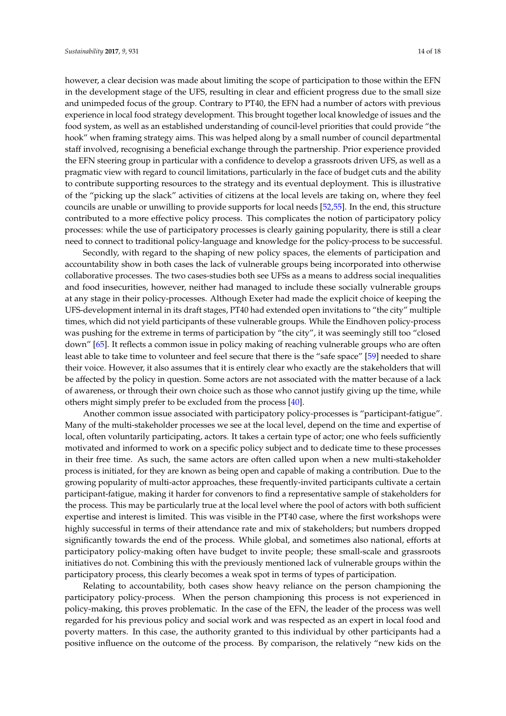however, a clear decision was made about limiting the scope of participation to those within the EFN in the development stage of the UFS, resulting in clear and efficient progress due to the small size and unimpeded focus of the group. Contrary to PT40, the EFN had a number of actors with previous experience in local food strategy development. This brought together local knowledge of issues and the food system, as well as an established understanding of council-level priorities that could provide "the hook" when framing strategy aims. This was helped along by a small number of council departmental staff involved, recognising a beneficial exchange through the partnership. Prior experience provided the EFN steering group in particular with a confidence to develop a grassroots driven UFS, as well as a pragmatic view with regard to council limitations, particularly in the face of budget cuts and the ability to contribute supporting resources to the strategy and its eventual deployment. This is illustrative of the "picking up the slack" activities of citizens at the local levels are taking on, where they feel councils are unable or unwilling to provide supports for local needs [\[52](#page-18-4)[,55\]](#page-18-7). In the end, this structure contributed to a more effective policy process. This complicates the notion of participatory policy processes: while the use of participatory processes is clearly gaining popularity, there is still a clear need to connect to traditional policy-language and knowledge for the policy-process to be successful.

Secondly, with regard to the shaping of new policy spaces, the elements of participation and accountability show in both cases the lack of vulnerable groups being incorporated into otherwise collaborative processes. The two cases-studies both see UFSs as a means to address social inequalities and food insecurities, however, neither had managed to include these socially vulnerable groups at any stage in their policy-processes. Although Exeter had made the explicit choice of keeping the UFS-development internal in its draft stages, PT40 had extended open invitations to "the city" multiple times, which did not yield participants of these vulnerable groups. While the Eindhoven policy-process was pushing for the extreme in terms of participation by "the city", it was seemingly still too "closed down" [\[65\]](#page-18-17). It reflects a common issue in policy making of reaching vulnerable groups who are often least able to take time to volunteer and feel secure that there is the "safe space" [\[59\]](#page-18-11) needed to share their voice. However, it also assumes that it is entirely clear who exactly are the stakeholders that will be affected by the policy in question. Some actors are not associated with the matter because of a lack of awareness, or through their own choice such as those who cannot justify giving up the time, while others might simply prefer to be excluded from the process [\[40\]](#page-17-17).

Another common issue associated with participatory policy-processes is "participant-fatigue". Many of the multi-stakeholder processes we see at the local level, depend on the time and expertise of local, often voluntarily participating, actors. It takes a certain type of actor; one who feels sufficiently motivated and informed to work on a specific policy subject and to dedicate time to these processes in their free time. As such, the same actors are often called upon when a new multi-stakeholder process is initiated, for they are known as being open and capable of making a contribution. Due to the growing popularity of multi-actor approaches, these frequently-invited participants cultivate a certain participant-fatigue, making it harder for convenors to find a representative sample of stakeholders for the process. This may be particularly true at the local level where the pool of actors with both sufficient expertise and interest is limited. This was visible in the PT40 case, where the first workshops were highly successful in terms of their attendance rate and mix of stakeholders; but numbers dropped significantly towards the end of the process. While global, and sometimes also national, efforts at participatory policy-making often have budget to invite people; these small-scale and grassroots initiatives do not. Combining this with the previously mentioned lack of vulnerable groups within the participatory process, this clearly becomes a weak spot in terms of types of participation.

Relating to accountability, both cases show heavy reliance on the person championing the participatory policy-process. When the person championing this process is not experienced in policy-making, this proves problematic. In the case of the EFN, the leader of the process was well regarded for his previous policy and social work and was respected as an expert in local food and poverty matters. In this case, the authority granted to this individual by other participants had a positive influence on the outcome of the process. By comparison, the relatively "new kids on the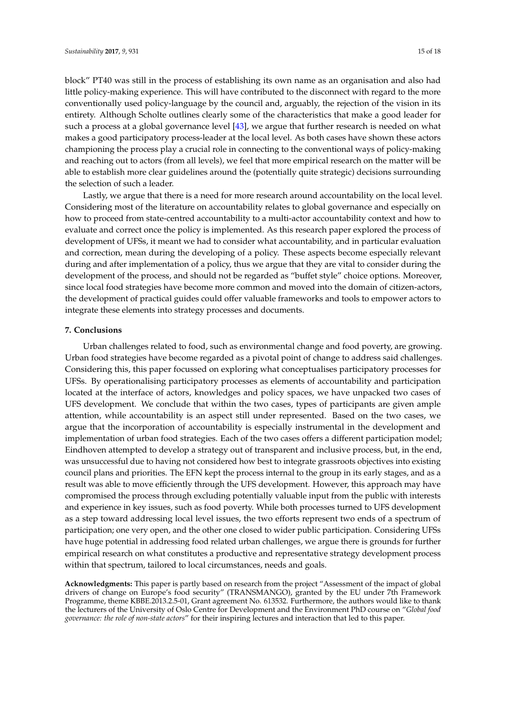block" PT40 was still in the process of establishing its own name as an organisation and also had little policy-making experience. This will have contributed to the disconnect with regard to the more conventionally used policy-language by the council and, arguably, the rejection of the vision in its entirety. Although Scholte outlines clearly some of the characteristics that make a good leader for such a process at a global governance level [\[43\]](#page-17-20), we argue that further research is needed on what makes a good participatory process-leader at the local level. As both cases have shown these actors championing the process play a crucial role in connecting to the conventional ways of policy-making and reaching out to actors (from all levels), we feel that more empirical research on the matter will be able to establish more clear guidelines around the (potentially quite strategic) decisions surrounding the selection of such a leader.

Lastly, we argue that there is a need for more research around accountability on the local level. Considering most of the literature on accountability relates to global governance and especially on how to proceed from state-centred accountability to a multi-actor accountability context and how to evaluate and correct once the policy is implemented. As this research paper explored the process of development of UFSs, it meant we had to consider what accountability, and in particular evaluation and correction, mean during the developing of a policy. These aspects become especially relevant during and after implementation of a policy, thus we argue that they are vital to consider during the development of the process, and should not be regarded as "buffet style" choice options. Moreover, since local food strategies have become more common and moved into the domain of citizen-actors, the development of practical guides could offer valuable frameworks and tools to empower actors to integrate these elements into strategy processes and documents.

#### **7. Conclusions**

Urban challenges related to food, such as environmental change and food poverty, are growing. Urban food strategies have become regarded as a pivotal point of change to address said challenges. Considering this, this paper focussed on exploring what conceptualises participatory processes for UFSs. By operationalising participatory processes as elements of accountability and participation located at the interface of actors, knowledges and policy spaces, we have unpacked two cases of UFS development. We conclude that within the two cases, types of participants are given ample attention, while accountability is an aspect still under represented. Based on the two cases, we argue that the incorporation of accountability is especially instrumental in the development and implementation of urban food strategies. Each of the two cases offers a different participation model; Eindhoven attempted to develop a strategy out of transparent and inclusive process, but, in the end, was unsuccessful due to having not considered how best to integrate grassroots objectives into existing council plans and priorities. The EFN kept the process internal to the group in its early stages, and as a result was able to move efficiently through the UFS development. However, this approach may have compromised the process through excluding potentially valuable input from the public with interests and experience in key issues, such as food poverty. While both processes turned to UFS development as a step toward addressing local level issues, the two efforts represent two ends of a spectrum of participation; one very open, and the other one closed to wider public participation. Considering UFSs have huge potential in addressing food related urban challenges, we argue there is grounds for further empirical research on what constitutes a productive and representative strategy development process within that spectrum, tailored to local circumstances, needs and goals.

**Acknowledgments:** This paper is partly based on research from the project "Assessment of the impact of global drivers of change on Europe's food security" (TRANSMANGO), granted by the EU under 7th Framework Programme, theme KBBE.2013.2.5-01, Grant agreement No. 613532. Furthermore, the authors would like to thank the lecturers of the University of Oslo Centre for Development and the Environment PhD course on "*Global food governance: the role of non-state actors*" for their inspiring lectures and interaction that led to this paper.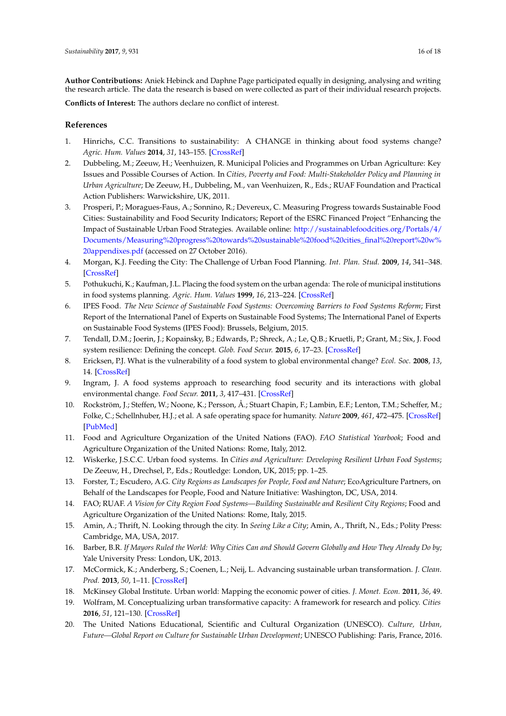**Author Contributions:** Aniek Hebinck and Daphne Page participated equally in designing, analysing and writing the research article. The data the research is based on were collected as part of their individual research projects.

**Conflicts of Interest:** The authors declare no conflict of interest.

#### **References**

- <span id="page-16-0"></span>1. Hinrichs, C.C. Transitions to sustainability: A CHANGE in thinking about food systems change? *Agric. Hum. Values* **2014**, *31*, 143–155. [\[CrossRef\]](http://dx.doi.org/10.1007/s10460-014-9479-5)
- 2. Dubbeling, M.; Zeeuw, H.; Veenhuizen, R. Municipal Policies and Programmes on Urban Agriculture: Key Issues and Possible Courses of Action. In *Cities, Poverty and Food: Multi-Stakeholder Policy and Planning in Urban Agriculture*; De Zeeuw, H., Dubbeling, M., van Veenhuizen, R., Eds.; RUAF Foundation and Practical Action Publishers: Warwickshire, UK, 2011.
- 3. Prosperi, P.; Moragues-Faus, A.; Sonnino, R.; Devereux, C. Measuring Progress towards Sustainable Food Cities: Sustainability and Food Security Indicators; Report of the ESRC Financed Project "Enhancing the Impact of Sustainable Urban Food Strategies. Available online: [http://sustainablefoodcities.org/Portals/4/](http://sustainablefoodcities.org/Portals/4/Documents/Measuring%20progress%20towards%20sustainable%20food%20cities_final%20report%20w%) [Documents/Measuring%20progress%20towards%20sustainable%20food%20cities\\_final%20report%20w%](http://sustainablefoodcities.org/Portals/4/Documents/Measuring%20progress%20towards%20sustainable%20food%20cities_final%20report%20w%) <20appendixes.pdf> (accessed on 27 October 2016).
- <span id="page-16-9"></span>4. Morgan, K.J. Feeding the City: The Challenge of Urban Food Planning. *Int. Plan. Stud.* **2009**, *14*, 341–348. [\[CrossRef\]](http://dx.doi.org/10.1080/13563471003642852)
- <span id="page-16-1"></span>5. Pothukuchi, K.; Kaufman, J.L. Placing the food system on the urban agenda: The role of municipal institutions in food systems planning. *Agric. Hum. Values* **1999**, *16*, 213–224. [\[CrossRef\]](http://dx.doi.org/10.1023/A:1007558805953)
- <span id="page-16-2"></span>6. IPES Food. *The New Science of Sustainable Food Systems: Overcoming Barriers to Food Systems Reform*; First Report of the International Panel of Experts on Sustainable Food Systems; The International Panel of Experts on Sustainable Food Systems (IPES Food): Brussels, Belgium, 2015.
- <span id="page-16-3"></span>7. Tendall, D.M.; Joerin, J.; Kopainsky, B.; Edwards, P.; Shreck, A.; Le, Q.B.; Kruetli, P.; Grant, M.; Six, J. Food system resilience: Defining the concept. *Glob. Food Secur.* **2015**, *6*, 17–23. [\[CrossRef\]](http://dx.doi.org/10.1016/j.gfs.2015.08.001)
- <span id="page-16-7"></span>8. Ericksen, P.J. What is the vulnerability of a food system to global environmental change? *Ecol. Soc.* **2008**, *13*, 14. [\[CrossRef\]](http://dx.doi.org/10.5751/ES-02475-130214)
- <span id="page-16-4"></span>9. Ingram, J. A food systems approach to researching food security and its interactions with global environmental change. *Food Secur.* **2011**, *3*, 417–431. [\[CrossRef\]](http://dx.doi.org/10.1007/s12571-011-0149-9)
- <span id="page-16-5"></span>10. Rockström, J.; Steffen, W.; Noone, K.; Persson, Å.; Stuart Chapin, F.; Lambin, E.F.; Lenton, T.M.; Scheffer, M.; Folke, C.; Schellnhuber, H.J.; et al. A safe operating space for humanity. *Nature* **2009**, *461*, 472–475. [\[CrossRef\]](http://dx.doi.org/10.1038/461472a) [\[PubMed\]](http://www.ncbi.nlm.nih.gov/pubmed/19779433)
- <span id="page-16-6"></span>11. Food and Agriculture Organization of the United Nations (FAO). *FAO Statistical Yearbook*; Food and Agriculture Organization of the United Nations: Rome, Italy, 2012.
- <span id="page-16-8"></span>12. Wiskerke, J.S.C.C. Urban food systems. In *Cities and Agriculture: Developing Resilient Urban Food Systems*; De Zeeuw, H., Drechsel, P., Eds.; Routledge: London, UK, 2015; pp. 1–25.
- <span id="page-16-11"></span>13. Forster, T.; Escudero, A.G. *City Regions as Landscapes for People, Food and Nature*; EcoAgriculture Partners, on Behalf of the Landscapes for People, Food and Nature Initiative: Washington, DC, USA, 2014.
- <span id="page-16-10"></span>14. FAO; RUAF. *A Vision for City Region Food Systems—Building Sustainable and Resilient City Regions*; Food and Agriculture Organization of the United Nations: Rome, Italy, 2015.
- <span id="page-16-12"></span>15. Amin, A.; Thrift, N. Looking through the city. In *Seeing Like a City*; Amin, A., Thrift, N., Eds.; Polity Press: Cambridge, MA, USA, 2017.
- <span id="page-16-15"></span>16. Barber, B.R. *If Mayors Ruled the World: Why Cities Can and Should Govern Globally and How They Already Do by*; Yale University Press: London, UK, 2013.
- 17. McCormick, K.; Anderberg, S.; Coenen, L.; Neij, L. Advancing sustainable urban transformation. *J. Clean. Prod.* **2013**, *50*, 1–11. [\[CrossRef\]](http://dx.doi.org/10.1016/j.jclepro.2013.01.003)
- <span id="page-16-14"></span>18. McKinsey Global Institute. Urban world: Mapping the economic power of cities. *J. Monet. Econ.* **2011**, *36*, 49.
- 19. Wolfram, M. Conceptualizing urban transformative capacity: A framework for research and policy. *Cities* **2016**, *51*, 121–130. [\[CrossRef\]](http://dx.doi.org/10.1016/j.cities.2015.11.011)
- <span id="page-16-13"></span>20. The United Nations Educational, Scientific and Cultural Organization (UNESCO). *Culture, Urban, Future—Global Report on Culture for Sustainable Urban Development*; UNESCO Publishing: Paris, France, 2016.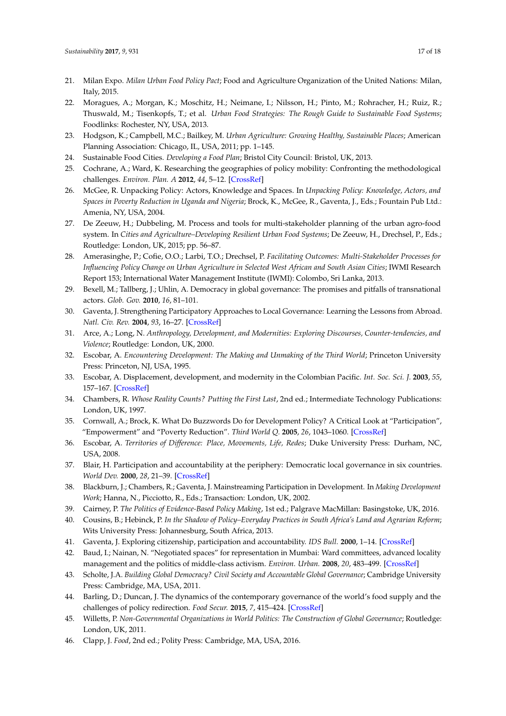- <span id="page-17-0"></span>21. Milan Expo. *Milan Urban Food Policy Pact*; Food and Agriculture Organization of the United Nations: Milan, Italy, 2015.
- <span id="page-17-1"></span>22. Moragues, A.; Morgan, K.; Moschitz, H.; Neimane, I.; Nilsson, H.; Pinto, M.; Rohracher, H.; Ruiz, R.; Thuswald, M.; Tisenkopfs, T.; et al. *Urban Food Strategies: The Rough Guide to Sustainable Food Systems*; Foodlinks: Rochester, NY, USA, 2013.
- <span id="page-17-2"></span>23. Hodgson, K.; Campbell, M.C.; Bailkey, M. *Urban Agriculture: Growing Healthy, Sustainable Places*; American Planning Association: Chicago, IL, USA, 2011; pp. 1–145.
- <span id="page-17-3"></span>24. Sustainable Food Cities. *Developing a Food Plan*; Bristol City Council: Bristol, UK, 2013.
- <span id="page-17-4"></span>25. Cochrane, A.; Ward, K. Researching the geographies of policy mobility: Confronting the methodological challenges. *Environ. Plan. A* **2012**, *44*, 5–12. [\[CrossRef\]](http://dx.doi.org/10.1068/a44176)
- <span id="page-17-5"></span>26. McGee, R. Unpacking Policy: Actors, Knowledge and Spaces. In *Unpacking Policy: Knowledge, Actors, and Spaces in Poverty Reduction in Uganda and Nigeria*; Brock, K., McGee, R., Gaventa, J., Eds.; Fountain Pub Ltd.: Amenia, NY, USA, 2004.
- <span id="page-17-6"></span>27. De Zeeuw, H.; Dubbeling, M. Process and tools for multi-stakeholder planning of the urban agro-food system. In *Cities and Agriculture–Developing Resilient Urban Food Systems*; De Zeeuw, H., Drechsel, P., Eds.; Routledge: London, UK, 2015; pp. 56–87.
- <span id="page-17-7"></span>28. Amerasinghe, P.; Cofie, O.O.; Larbi, T.O.; Drechsel, P. *Facilitating Outcomes: Multi-Stakeholder Processes for Influencing Policy Change on Urban Agriculture in Selected West African and South Asian Cities*; IWMI Research Report 153; International Water Management Institute (IWMI): Colombo, Sri Lanka, 2013.
- <span id="page-17-8"></span>29. Bexell, M.; Tallberg, J.; Uhlin, A. Democracy in global governance: The promises and pitfalls of transnational actors. *Glob. Gov.* **2010**, *16*, 81–101.
- <span id="page-17-9"></span>30. Gaventa, J. Strengthening Participatory Approaches to Local Governance: Learning the Lessons from Abroad. *Natl. Civ. Rev.* **2004**, *93*, 16–27. [\[CrossRef\]](http://dx.doi.org/10.1002/ncr.67)
- <span id="page-17-10"></span>31. Arce, A.; Long, N. *Anthropology, Development, and Modernities: Exploring Discourses, Counter-tendencies, and Violence*; Routledge: London, UK, 2000.
- 32. Escobar, A. *Encountering Development: The Making and Unmaking of the Third World*; Princeton University Press: Princeton, NJ, USA, 1995.
- 33. Escobar, A. Displacement, development, and modernity in the Colombian Pacific. *Int. Soc. Sci. J.* **2003**, *55*, 157–167. [\[CrossRef\]](http://dx.doi.org/10.1111/1468-2451.5501015)
- <span id="page-17-11"></span>34. Chambers, R. *Whose Reality Counts? Putting the First Last*, 2nd ed.; Intermediate Technology Publications: London, UK, 1997.
- <span id="page-17-12"></span>35. Cornwall, A.; Brock, K. What Do Buzzwords Do for Development Policy? A Critical Look at "Participation", "Empowerment" and "Poverty Reduction". *Third World Q.* **2005**, *26*, 1043–1060. [\[CrossRef\]](http://dx.doi.org/10.1080/01436590500235603)
- <span id="page-17-13"></span>36. Escobar, A. *Territories of Difference: Place, Movements, Life, Redes*; Duke University Press: Durham, NC, USA, 2008.
- <span id="page-17-14"></span>37. Blair, H. Participation and accountability at the periphery: Democratic local governance in six countries. *World Dev.* **2000**, *28*, 21–39. [\[CrossRef\]](http://dx.doi.org/10.1016/S0305-750X(99)00109-6)
- <span id="page-17-15"></span>38. Blackburn, J.; Chambers, R.; Gaventa, J. Mainstreaming Participation in Development. In *Making Development Work*; Hanna, N., Picciotto, R., Eds.; Transaction: London, UK, 2002.
- <span id="page-17-16"></span>39. Cairney, P. *The Politics of Evidence-Based Policy Making*, 1st ed.; Palgrave MacMillan: Basingstoke, UK, 2016.
- <span id="page-17-17"></span>40. Cousins, B.; Hebinck, P. *In the Shadow of Policy–Everyday Practices in South Africa's Land and Agrarian Reform*; Wits University Press: Johannesburg, South Africa, 2013.
- <span id="page-17-18"></span>41. Gaventa, J. Exploring citizenship, participation and accountability. *IDS Bull.* **2000**, 1–14. [\[CrossRef\]](http://dx.doi.org/10.1111/j.1759-5436.2002.tb00020.x)
- <span id="page-17-19"></span>42. Baud, I.; Nainan, N. "Negotiated spaces" for representation in Mumbai: Ward committees, advanced locality management and the politics of middle-class activism. *Environ. Urban.* **2008**, *20*, 483–499. [\[CrossRef\]](http://dx.doi.org/10.1177/0956247808096124)
- <span id="page-17-20"></span>43. Scholte, J.A. *Building Global Democracy? Civil Society and Accountable Global Governance*; Cambridge University Press: Cambridge, MA, USA, 2011.
- <span id="page-17-21"></span>44. Barling, D.; Duncan, J. The dynamics of the contemporary governance of the world's food supply and the challenges of policy redirection. *Food Secur.* **2015**, *7*, 415–424. [\[CrossRef\]](http://dx.doi.org/10.1007/s12571-015-0429-x)
- <span id="page-17-22"></span>45. Willetts, P. *Non-Governmental Organizations in World Politics: The Construction of Global Governance*; Routledge: London, UK, 2011.
- 46. Clapp, J. *Food*, 2nd ed.; Polity Press: Cambridge, MA, USA, 2016.